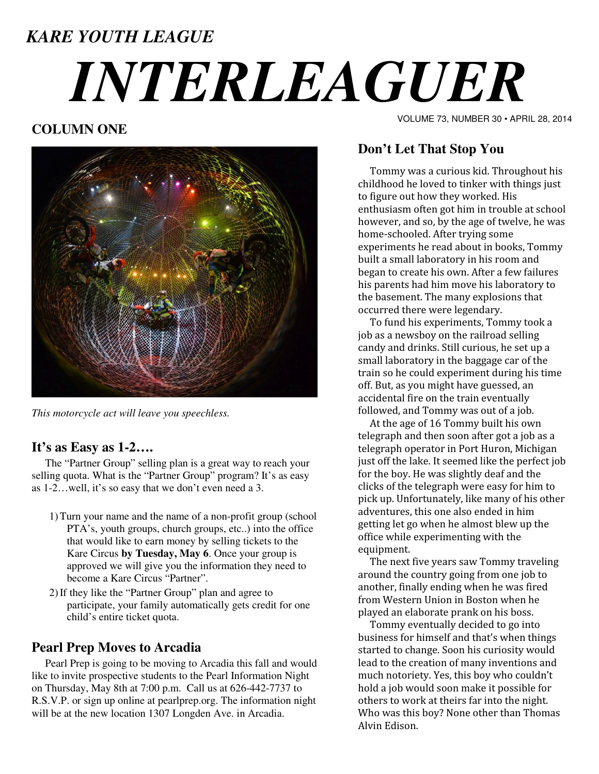# *KARE YOUTH LEAGUE INTERLEAGUER*

# **COLUMN ONE**



*This motorcycle act will leave you speechless.* 

# **It's as Easy as 1-2….**

 The "Partner Group" selling plan is a great way to reach your selling quota. What is the "Partner Group" program? It's as easy as 1-2…well, it's so easy that we don't even need a 3.

- 1)Turn your name and the name of a non-profit group (school PTA's, youth groups, church groups, etc..) into the office that would like to earn money by selling tickets to the Kare Circus **by Tuesday, May 6**. Once your group is approved we will give you the information they need to become a Kare Circus "Partner".
- 2)If they like the "Partner Group" plan and agree to participate, your family automatically gets credit for one child's entire ticket quota.

## **Pearl Prep Moves to Arcadia**

 Pearl Prep is going to be moving to Arcadia this fall and would like to invite prospective students to the Pearl Information Night on Thursday, May 8th at 7:00 p.m. Call us at 626-442-7737 to R.S.V.P. or sign up online at pearlprep.org. The information night will be at the new location 1307 Longden Ave. in Arcadia.

VOLUME 73, NUMBER 30 • APRIL 28, 2014

# **Don't Let That Stop You**

 Tommy was a curious kid. Throughout his childhood he loved to tinker with things just to figure out how they worked. His enthusiasm often got him in trouble at school however, and so, by the age of twelve, he was home-schooled. After trying some experiments he read about in books, Tommy built a small laboratory in his room and began to create his own. After a few failures his parents had him move his laboratory to the basement. The many explosions that occurred there were legendary.

 To fund his experiments, Tommy took a job as a newsboy on the railroad selling candy and drinks. Still curious, he set up a small laboratory in the baggage car of the train so he could experiment during his time off. But, as you might have guessed, an accidental fire on the train eventually followed, and Tommy was out of a job.

 At the age of 16 Tommy built his own telegraph and then soon after got a job as a telegraph operator in Port Huron, Michigan just off the lake. It seemed like the perfect job for the boy. He was slightly deaf and the clicks of the telegraph were easy for him to pick up. Unfortunately, like many of his other adventures, this one also ended in him getting let go when he almost blew up the office while experimenting with the equipment.

 The next five years saw Tommy traveling around the country going from one job to another, finally ending when he was fired from Western Union in Boston when he played an elaborate prank on his boss.

 Tommy eventually decided to go into business for himself and that's when things started to change. Soon his curiosity would lead to the creation of many inventions and much notoriety. Yes, this boy who couldn't hold a job would soon make it possible for others to work at theirs far into the night. Who was this boy? None other than Thomas Alvin Edison.